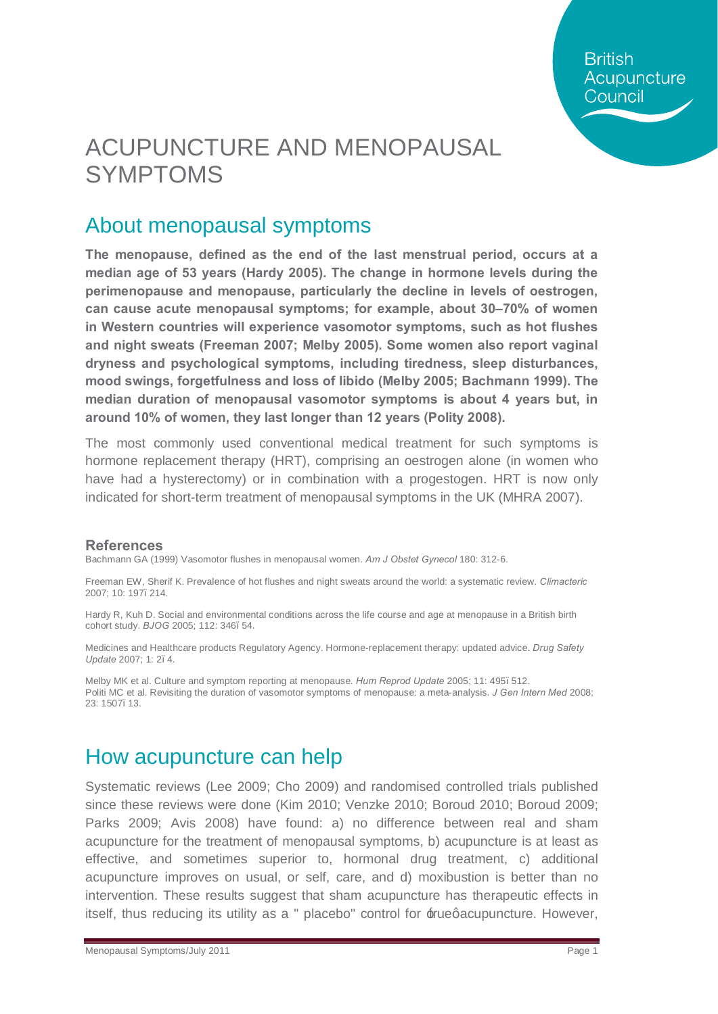**British** Acupuncture Council

## ACUPUNCTURE AND MENOPAUSAL SYMPTOMS

### About menopausal symptoms

**The menopause, defined as the end of the last menstrual period, occurs at a median age of 53 years (Hardy 2005). The change in hormone levels during the perimenopause and menopause, particularly the decline in levels of oestrogen, can cause acute menopausal symptoms; for example, about 30–70% of women in Western countries will experience vasomotor symptoms, such as hot flushes and night sweats (Freeman 2007; Melby 2005). Some women also report vaginal dryness and psychological symptoms, including tiredness, sleep disturbances, mood swings, forgetfulness and loss of libido (Melby 2005; Bachmann 1999). The median duration of menopausal vasomotor symptoms is about 4 years but, in around 10% of women, they last longer than 12 years (Polity 2008).**

The most commonly used conventional medical treatment for such symptoms is hormone replacement therapy (HRT), comprising an oestrogen alone (in women who have had a hysterectomy) or in combination with a progestogen. HRT is now only indicated for short-term treatment of menopausal symptoms in the UK (MHRA 2007).

#### **References**

Bachmann GA (1999) Vasomotor flushes in menopausal women. *Am J Obstet Gynecol* 180: 312-6.

Freeman EW, Sherif K. Prevalence of hot flushes and night sweats around the world: a systematic review. *Climacteric*  2007; 10: 197–214.

Hardy R, Kuh D. Social and environmental conditions across the life course and age at menopause in a British birth cohort study. *BJOG* 2005; 112: 346–54.

Medicines and Healthcare products Regulatory Agency. Hormone-replacement therapy: updated advice. *Drug Safety Update* 2007; 1: 2–4.

Melby MK et al. Culture and symptom reporting at menopause. *Hum Reprod Update* 2005; 11: 495–512. Politi MC et al. Revisiting the duration of vasomotor symptoms of menopause: a meta-analysis. *J Gen Intern Med* 2008; 23: 1507–13.

### How acupuncture can help

Systematic reviews (Lee 2009; Cho 2009) and randomised controlled trials published since these reviews were done (Kim 2010; Venzke 2010; Boroud 2010; Boroud 2009; Parks 2009; Avis 2008) have found: a) no difference between real and sham acupuncture for the treatment of menopausal symptoms, b) acupuncture is at least as effective, and sometimes superior to, hormonal drug treatment, c) additional acupuncture improves on usual, or self, care, and d) moxibustion is better than no intervention. These results suggest that sham acupuncture has therapeutic effects in itself, thus reducing its utility as a " placebo" control for  $\pm$ rue qacupuncture. However,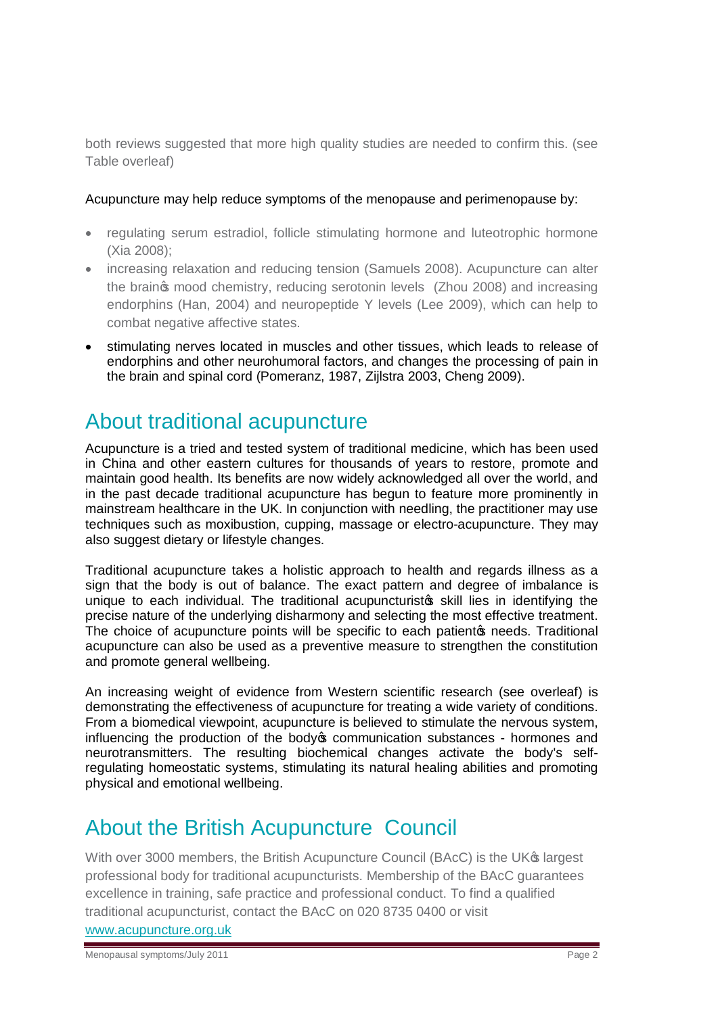both reviews suggested that more high quality studies are needed to confirm this. (see Table overleaf)

#### Acupuncture may help reduce symptoms of the menopause and perimenopause by:

- · regulating serum estradiol, follicle stimulating hormone and luteotrophic hormone (Xia 2008);
- · increasing relaxation and reducing tension (Samuels 2008). Acupuncture can alter the braings mood chemistry, reducing serotonin levels (Zhou 2008) and increasing endorphins (Han, 2004) and neuropeptide Y levels (Lee 2009), which can help to combat negative affective states.
- stimulating nerves located in muscles and other tissues, which leads to release of endorphins and other neurohumoral factors, and changes the processing of pain in the brain and spinal cord (Pomeranz, 1987, Zijlstra 2003, Cheng 2009).

### About traditional acupuncture

Acupuncture is a tried and tested system of traditional medicine, which has been used in China and other eastern cultures for thousands of years to restore, promote and maintain good health. Its benefits are now widely acknowledged all over the world, and in the past decade traditional acupuncture has begun to feature more prominently in mainstream healthcare in the UK. In conjunction with needling, the practitioner may use techniques such as moxibustion, cupping, massage or electro-acupuncture. They may also suggest dietary or lifestyle changes.

Traditional acupuncture takes a holistic approach to health and regards illness as a sign that the body is out of balance. The exact pattern and degree of imbalance is unique to each individual. The traditional acupuncturistos skill lies in identifying the precise nature of the underlying disharmony and selecting the most effective treatment. The choice of acupuncture points will be specific to each patiento needs. Traditional acupuncture can also be used as a preventive measure to strengthen the constitution and promote general wellbeing.

An increasing weight of evidence from Western scientific research (see overleaf) is demonstrating the effectiveness of acupuncture for treating a wide variety of conditions. From a biomedical viewpoint, acupuncture is believed to stimulate the nervous system, influencing the production of the body ocommunication substances - hormones and neurotransmitters. The resulting biochemical changes activate the body's selfregulating homeostatic systems, stimulating its natural healing abilities and promoting physical and emotional wellbeing.

### About the British Acupuncture Council

With over 3000 members, the British Acupuncture Council (BAcC) is the UK<sup>®</sup> largest professional body for traditional acupuncturists. Membership of the BAcC guarantees excellence in training, safe practice and professional conduct. To find a qualified traditional acupuncturist, contact the BAcC on 020 8735 0400 or visit [www.acupuncture.org.uk](http://www.acupuncture.org.uk/)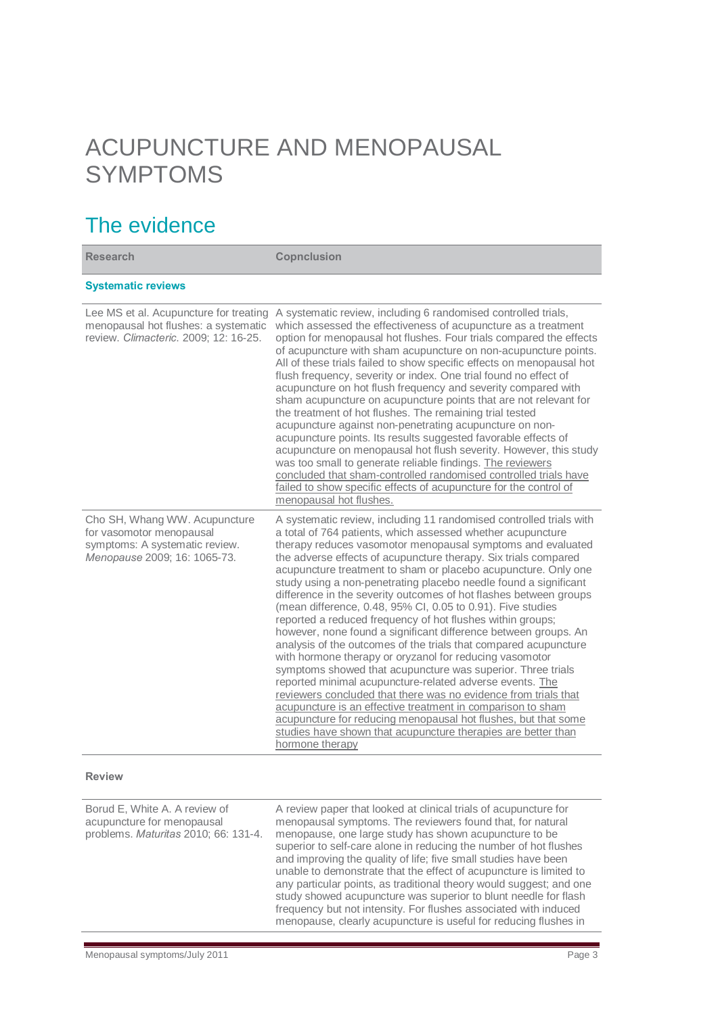# ACUPUNCTURE AND MENOPAUSAL SYMPTOMS

## The evidence

| <b>Research</b>                                                                                                             | <b>Copnclusion</b>                                                                                                                                                                                                                                                                                                                                                                                                                                                                                                                                                                                                                                                                                                                                                                                                                                                                                                                                                                                                                                                                                                                                                                                                                |
|-----------------------------------------------------------------------------------------------------------------------------|-----------------------------------------------------------------------------------------------------------------------------------------------------------------------------------------------------------------------------------------------------------------------------------------------------------------------------------------------------------------------------------------------------------------------------------------------------------------------------------------------------------------------------------------------------------------------------------------------------------------------------------------------------------------------------------------------------------------------------------------------------------------------------------------------------------------------------------------------------------------------------------------------------------------------------------------------------------------------------------------------------------------------------------------------------------------------------------------------------------------------------------------------------------------------------------------------------------------------------------|
| <b>Systematic reviews</b>                                                                                                   |                                                                                                                                                                                                                                                                                                                                                                                                                                                                                                                                                                                                                                                                                                                                                                                                                                                                                                                                                                                                                                                                                                                                                                                                                                   |
| Lee MS et al. Acupuncture for treating<br>menopausal hot flushes: a systematic<br>review. Climacteric. 2009; 12: 16-25.     | A systematic review, including 6 randomised controlled trials,<br>which assessed the effectiveness of acupuncture as a treatment<br>option for menopausal hot flushes. Four trials compared the effects<br>of acupuncture with sham acupuncture on non-acupuncture points.<br>All of these trials failed to show specific effects on menopausal hot<br>flush frequency, severity or index. One trial found no effect of<br>acupuncture on hot flush frequency and severity compared with<br>sham acupuncture on acupuncture points that are not relevant for<br>the treatment of hot flushes. The remaining trial tested<br>acupuncture against non-penetrating acupuncture on non-<br>acupuncture points. Its results suggested favorable effects of<br>acupuncture on menopausal hot flush severity. However, this study<br>was too small to generate reliable findings. The reviewers<br>concluded that sham-controlled randomised controlled trials have<br>failed to show specific effects of acupuncture for the control of<br>menopausal hot flushes.                                                                                                                                                                      |
| Cho SH, Whang WW. Acupuncture<br>for vasomotor menopausal<br>symptoms: A systematic review.<br>Menopause 2009; 16: 1065-73. | A systematic review, including 11 randomised controlled trials with<br>a total of 764 patients, which assessed whether acupuncture<br>therapy reduces vasomotor menopausal symptoms and evaluated<br>the adverse effects of acupuncture therapy. Six trials compared<br>acupuncture treatment to sham or placebo acupuncture. Only one<br>study using a non-penetrating placebo needle found a significant<br>difference in the severity outcomes of hot flashes between groups<br>(mean difference, 0.48, 95% CI, 0.05 to 0.91). Five studies<br>reported a reduced frequency of hot flushes within groups;<br>however, none found a significant difference between groups. An<br>analysis of the outcomes of the trials that compared acupuncture<br>with hormone therapy or oryzanol for reducing vasomotor<br>symptoms showed that acupuncture was superior. Three trials<br>reported minimal acupuncture-related adverse events. The<br>reviewers concluded that there was no evidence from trials that<br>acupuncture is an effective treatment in comparison to sham<br>acupuncture for reducing menopausal hot flushes, but that some<br>studies have shown that acupuncture therapies are better than<br>hormone therapy |

#### **Review**

| Borud E, White A. A review of<br>acupuncture for menopausal<br>problems. Maturitas 2010; 66: 131-4. | A review paper that looked at clinical trials of acupuncture for<br>menopausal symptoms. The reviewers found that, for natural<br>menopause, one large study has shown acupuncture to be<br>superior to self-care alone in reducing the number of hot flushes<br>and improving the quality of life; five small studies have been<br>unable to demonstrate that the effect of acupuncture is limited to<br>any particular points, as traditional theory would suggest; and one<br>study showed acupuncture was superior to blunt needle for flash<br>frequency but not intensity. For flushes associated with induced<br>menopause, clearly acupuncture is useful for reducing flushes in |
|-----------------------------------------------------------------------------------------------------|------------------------------------------------------------------------------------------------------------------------------------------------------------------------------------------------------------------------------------------------------------------------------------------------------------------------------------------------------------------------------------------------------------------------------------------------------------------------------------------------------------------------------------------------------------------------------------------------------------------------------------------------------------------------------------------|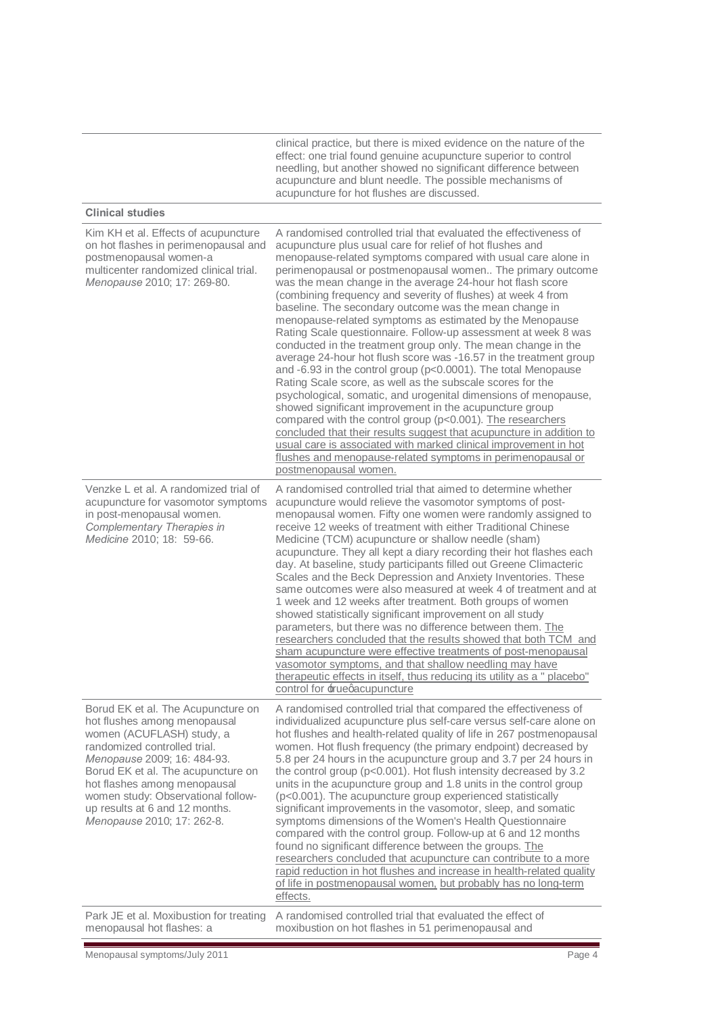clinical practice, but there is mixed evidence on the nature of the effect: one trial found genuine acupuncture superior to control needling, but another showed no significant difference between acupuncture and blunt needle. The possible mechanisms of acupuncture for hot flushes are discussed.

#### **Clinical studies**

| Kim KH et al. Effects of acupuncture<br>on hot flashes in perimenopausal and<br>postmenopausal women-a<br>multicenter randomized clinical trial.<br>Menopause 2010; 17: 269-80.                                                                                                                                                            | A randomised controlled trial that evaluated the effectiveness of<br>acupuncture plus usual care for relief of hot flushes and<br>menopause-related symptoms compared with usual care alone in<br>perimenopausal or postmenopausal women The primary outcome<br>was the mean change in the average 24-hour hot flash score<br>(combining frequency and severity of flushes) at week 4 from<br>baseline. The secondary outcome was the mean change in<br>menopause-related symptoms as estimated by the Menopause<br>Rating Scale questionnaire. Follow-up assessment at week 8 was<br>conducted in the treatment group only. The mean change in the<br>average 24-hour hot flush score was -16.57 in the treatment group<br>and -6.93 in the control group (p<0.0001). The total Menopause<br>Rating Scale score, as well as the subscale scores for the<br>psychological, somatic, and urogenital dimensions of menopause,<br>showed significant improvement in the acupuncture group<br>compared with the control group (p<0.001). The researchers<br>concluded that their results suggest that acupuncture in addition to<br>usual care is associated with marked clinical improvement in hot<br>flushes and menopause-related symptoms in perimenopausal or<br>postmenopausal women. |
|--------------------------------------------------------------------------------------------------------------------------------------------------------------------------------------------------------------------------------------------------------------------------------------------------------------------------------------------|------------------------------------------------------------------------------------------------------------------------------------------------------------------------------------------------------------------------------------------------------------------------------------------------------------------------------------------------------------------------------------------------------------------------------------------------------------------------------------------------------------------------------------------------------------------------------------------------------------------------------------------------------------------------------------------------------------------------------------------------------------------------------------------------------------------------------------------------------------------------------------------------------------------------------------------------------------------------------------------------------------------------------------------------------------------------------------------------------------------------------------------------------------------------------------------------------------------------------------------------------------------------------------------|
| Venzke L et al. A randomized trial of<br>acupuncture for vasomotor symptoms<br>in post-menopausal women.<br>Complementary Therapies in<br>Medicine 2010; 18: 59-66.                                                                                                                                                                        | A randomised controlled trial that aimed to determine whether<br>acupuncture would relieve the vasomotor symptoms of post-<br>menopausal women. Fifty one women were randomly assigned to<br>receive 12 weeks of treatment with either Traditional Chinese<br>Medicine (TCM) acupuncture or shallow needle (sham)<br>acupuncture. They all kept a diary recording their hot flashes each<br>day. At baseline, study participants filled out Greene Climacteric<br>Scales and the Beck Depression and Anxiety Inventories. These<br>same outcomes were also measured at week 4 of treatment and at<br>1 week and 12 weeks after treatment. Both groups of women<br>showed statistically significant improvement on all study<br>parameters, but there was no difference between them. The<br>researchers concluded that the results showed that both TCM and<br>sham acupuncture were effective treatments of post-menopausal<br>vasomotor symptoms, and that shallow needling may have<br>therapeutic effects in itself, thus reducing its utility as a " placebo"<br>control for ±ruegacupuncture                                                                                                                                                                                       |
| Borud EK et al. The Acupuncture on<br>hot flushes among menopausal<br>women (ACUFLASH) study, a<br>randomized controlled trial.<br>Menopause 2009; 16: 484-93.<br>Borud EK et al. The acupuncture on<br>hot flashes among menopausal<br>women study: Observational follow-<br>up results at 6 and 12 months.<br>Menopause 2010; 17: 262-8. | A randomised controlled trial that compared the effectiveness of<br>individualized acupuncture plus self-care versus self-care alone on<br>hot flushes and health-related quality of life in 267 postmenopausal<br>women. Hot flush frequency (the primary endpoint) decreased by<br>5.8 per 24 hours in the acupuncture group and 3.7 per 24 hours in<br>the control group (p<0.001). Hot flush intensity decreased by 3.2<br>units in the acupuncture group and 1.8 units in the control group<br>(p<0.001). The acupuncture group experienced statistically<br>significant improvements in the vasomotor, sleep, and somatic<br>symptoms dimensions of the Women's Health Questionnaire<br>compared with the control group. Follow-up at 6 and 12 months<br>found no significant difference between the groups. The<br>researchers concluded that acupuncture can contribute to a more<br>rapid reduction in hot flushes and increase in health-related quality<br>of life in postmenopausal women, but probably has no long-term<br>effects.                                                                                                                                                                                                                                         |
| Park JE et al. Moxibustion for treating<br>menopausal hot flashes: a                                                                                                                                                                                                                                                                       | A randomised controlled trial that evaluated the effect of<br>moxibustion on hot flashes in 51 perimenopausal and                                                                                                                                                                                                                                                                                                                                                                                                                                                                                                                                                                                                                                                                                                                                                                                                                                                                                                                                                                                                                                                                                                                                                                        |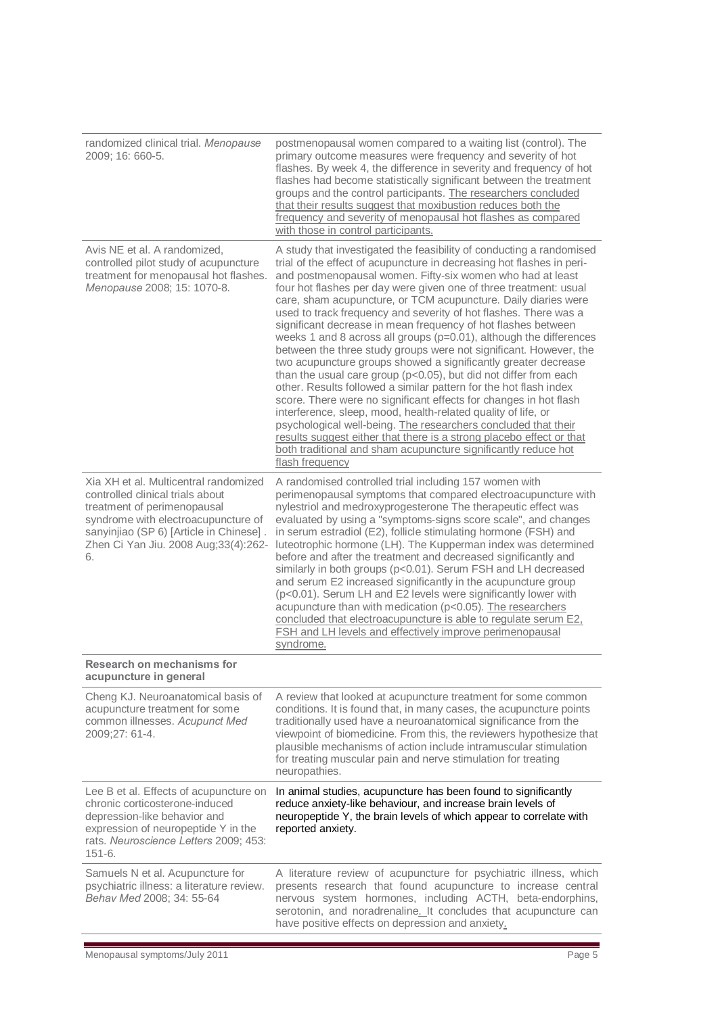| randomized clinical trial. Menopause<br>2009; 16: 660-5.                                                                                                                                                                                 | postmenopausal women compared to a waiting list (control). The<br>primary outcome measures were frequency and severity of hot<br>flashes. By week 4, the difference in severity and frequency of hot<br>flashes had become statistically significant between the treatment<br>groups and the control participants. The researchers concluded<br>that their results suggest that moxibustion reduces both the<br>frequency and severity of menopausal hot flashes as compared<br>with those in control participants.                                                                                                                                                                                                                                                                                                                                                                                                                                                                                                                                                                                                                                                                                                |
|------------------------------------------------------------------------------------------------------------------------------------------------------------------------------------------------------------------------------------------|--------------------------------------------------------------------------------------------------------------------------------------------------------------------------------------------------------------------------------------------------------------------------------------------------------------------------------------------------------------------------------------------------------------------------------------------------------------------------------------------------------------------------------------------------------------------------------------------------------------------------------------------------------------------------------------------------------------------------------------------------------------------------------------------------------------------------------------------------------------------------------------------------------------------------------------------------------------------------------------------------------------------------------------------------------------------------------------------------------------------------------------------------------------------------------------------------------------------|
| Avis NE et al. A randomized,<br>controlled pilot study of acupuncture<br>treatment for menopausal hot flashes.<br>Menopause 2008; 15: 1070-8.                                                                                            | A study that investigated the feasibility of conducting a randomised<br>trial of the effect of acupuncture in decreasing hot flashes in peri-<br>and postmenopausal women. Fifty-six women who had at least<br>four hot flashes per day were given one of three treatment: usual<br>care, sham acupuncture, or TCM acupuncture. Daily diaries were<br>used to track frequency and severity of hot flashes. There was a<br>significant decrease in mean frequency of hot flashes between<br>weeks 1 and 8 across all groups (p=0.01), although the differences<br>between the three study groups were not significant. However, the<br>two acupuncture groups showed a significantly greater decrease<br>than the usual care group (p<0.05), but did not differ from each<br>other. Results followed a similar pattern for the hot flash index<br>score. There were no significant effects for changes in hot flash<br>interference, sleep, mood, health-related quality of life, or<br>psychological well-being. The researchers concluded that their<br>results suggest either that there is a strong placebo effect or that<br>both traditional and sham acupuncture significantly reduce hot<br>flash frequency |
| Xia XH et al. Multicentral randomized<br>controlled clinical trials about<br>treatment of perimenopausal<br>syndrome with electroacupuncture of<br>sanyinjiao (SP 6) [Article in Chinese].<br>Zhen Ci Yan Jiu. 2008 Aug;33(4):262-<br>6. | A randomised controlled trial including 157 women with<br>perimenopausal symptoms that compared electroacupuncture with<br>nylestriol and medroxyprogesterone The therapeutic effect was<br>evaluated by using a "symptoms-signs score scale", and changes<br>in serum estradiol (E2), follicle stimulating hormone (FSH) and<br>luteotrophic hormone (LH). The Kupperman index was determined<br>before and after the treatment and decreased significantly and<br>similarly in both groups (p<0.01). Serum FSH and LH decreased<br>and serum E2 increased significantly in the acupuncture group<br>(p<0.01). Serum LH and E2 levels were significantly lower with<br>acupuncture than with medication (p<0.05). The researchers<br>concluded that electroacupuncture is able to regulate serum E2,<br><b>FSH and LH levels and effectively improve perimenopausal</b><br>syndrome.                                                                                                                                                                                                                                                                                                                              |
| Research on mechanisms for<br>acupuncture in general                                                                                                                                                                                     |                                                                                                                                                                                                                                                                                                                                                                                                                                                                                                                                                                                                                                                                                                                                                                                                                                                                                                                                                                                                                                                                                                                                                                                                                    |
| Cheng KJ. Neuroanatomical basis of<br>acupuncture treatment for some<br>common illnesses. Acupunct Med<br>2009;27: 61-4.                                                                                                                 | A review that looked at acupuncture treatment for some common<br>conditions. It is found that, in many cases, the acupuncture points<br>traditionally used have a neuroanatomical significance from the<br>viewpoint of biomedicine. From this, the reviewers hypothesize that<br>plausible mechanisms of action include intramuscular stimulation<br>for treating muscular pain and nerve stimulation for treating<br>neuropathies.                                                                                                                                                                                                                                                                                                                                                                                                                                                                                                                                                                                                                                                                                                                                                                               |
| Lee B et al. Effects of acupuncture on<br>chronic corticosterone-induced<br>depression-like behavior and<br>expression of neuropeptide Y in the<br>rats. Neuroscience Letters 2009; 453:<br>$151 - 6.$                                   | In animal studies, acupuncture has been found to significantly<br>reduce anxiety-like behaviour, and increase brain levels of<br>neuropeptide Y, the brain levels of which appear to correlate with<br>reported anxiety.                                                                                                                                                                                                                                                                                                                                                                                                                                                                                                                                                                                                                                                                                                                                                                                                                                                                                                                                                                                           |
| Samuels N et al. Acupuncture for<br>psychiatric illness: a literature review.<br>Behav Med 2008; 34: 55-64                                                                                                                               | A literature review of acupuncture for psychiatric illness, which<br>presents research that found acupuncture to increase central<br>nervous system hormones, including ACTH, beta-endorphins,<br>serotonin, and noradrenaline. It concludes that acupuncture can<br>have positive effects on depression and anxiety.                                                                                                                                                                                                                                                                                                                                                                                                                                                                                                                                                                                                                                                                                                                                                                                                                                                                                              |